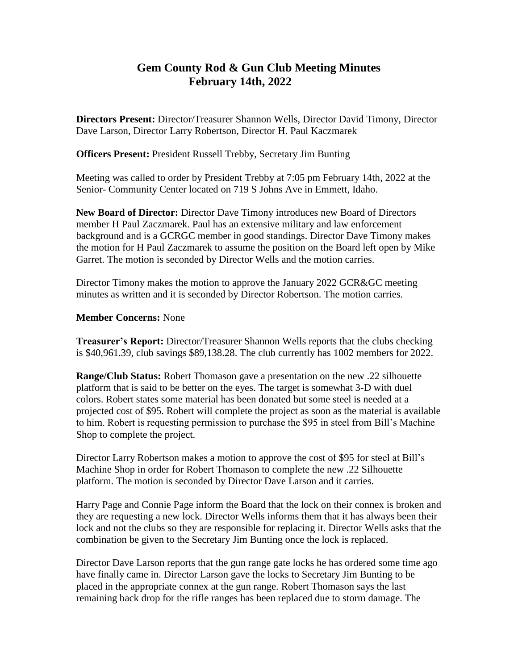## **Gem County Rod & Gun Club Meeting Minutes February 14th, 2022**

**Directors Present:** Director/Treasurer Shannon Wells, Director David Timony, Director Dave Larson, Director Larry Robertson, Director H. Paul Kaczmarek

**Officers Present:** President Russell Trebby, Secretary Jim Bunting

Meeting was called to order by President Trebby at 7:05 pm February 14th, 2022 at the Senior- Community Center located on 719 S Johns Ave in Emmett, Idaho.

**New Board of Director:** Director Dave Timony introduces new Board of Directors member H Paul Zaczmarek. Paul has an extensive military and law enforcement background and is a GCRGC member in good standings. Director Dave Timony makes the motion for H Paul Zaczmarek to assume the position on the Board left open by Mike Garret. The motion is seconded by Director Wells and the motion carries.

Director Timony makes the motion to approve the January 2022 GCR&GC meeting minutes as written and it is seconded by Director Robertson. The motion carries.

## **Member Concerns:** None

**Treasurer's Report:** Director/Treasurer Shannon Wells reports that the clubs checking is \$40,961.39, club savings \$89,138.28. The club currently has 1002 members for 2022.

**Range/Club Status:** Robert Thomason gave a presentation on the new .22 silhouette platform that is said to be better on the eyes. The target is somewhat 3-D with duel colors. Robert states some material has been donated but some steel is needed at a projected cost of \$95. Robert will complete the project as soon as the material is available to him. Robert is requesting permission to purchase the \$95 in steel from Bill's Machine Shop to complete the project.

Director Larry Robertson makes a motion to approve the cost of \$95 for steel at Bill's Machine Shop in order for Robert Thomason to complete the new .22 Silhouette platform. The motion is seconded by Director Dave Larson and it carries.

Harry Page and Connie Page inform the Board that the lock on their connex is broken and they are requesting a new lock. Director Wells informs them that it has always been their lock and not the clubs so they are responsible for replacing it. Director Wells asks that the combination be given to the Secretary Jim Bunting once the lock is replaced.

Director Dave Larson reports that the gun range gate locks he has ordered some time ago have finally came in. Director Larson gave the locks to Secretary Jim Bunting to be placed in the appropriate connex at the gun range. Robert Thomason says the last remaining back drop for the rifle ranges has been replaced due to storm damage. The